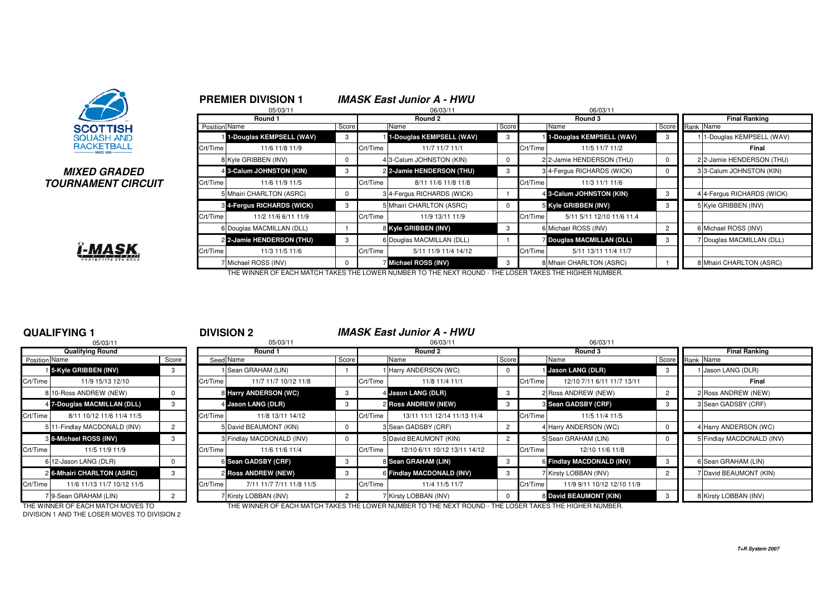

### **MIXED GRADEDTOURNAMENT CIRCUIT**



|              |               | <b>PREMIER DIVISION 1</b>  |          |          | <b>IMASK East Junior A - HWU</b> |          |          |                                |                |                            |  |
|--------------|---------------|----------------------------|----------|----------|----------------------------------|----------|----------|--------------------------------|----------------|----------------------------|--|
|              |               | 05/03/11<br>Round 1        |          |          | 06/03/11<br>Round 2              |          |          | 06/03/11<br>Round 3            |                | <b>Final Ranking</b>       |  |
|              | Position Name |                            | Score    |          | Name                             | Score    |          | Name                           | Score          | Rank Name                  |  |
|              |               | 1-Douglas KEMPSELL (WAV)   | 3        |          | 1-Douglas KEMPSELL (WAV)         | 3        |          | 1-Douglas KEMPSELL (WAV)       | 3              | 1-Douglas KEMPSELL (WAV)   |  |
|              | Crt/Time      | 11/6 11/8 11/9             |          | Crt/Time | 11/7 11/7 11/1                   |          | Crt/Time | 11/5 11/7 11/2                 |                | Final                      |  |
|              |               | 8 Kyle GRIBBEN (INV)       | 0        |          | 4 3-Calum JOHNSTON (KIN)         | 0        |          | 2 2-Jamie HENDERSON (THU)      | $\mathbf{0}$   | 2 2-Jamie HENDERSON (THU)  |  |
|              |               | 4 3-Calum JOHNSTON (KIN)   | 3        |          | 2 2-Jamie HENDERSON (THU)        | 3        |          | 3 4-Fergus RICHARDS (WICK)     | $\mathbf{0}$   | 33-Calum JOHNSTON (KIN)    |  |
| <b>?CUIT</b> | Crt/Time      | 11/6 11/9 11/5             |          | Crt/Time | 8/11 11/6 11/8 11/8              |          | Crt/Time | 11/3 11/1 11/6                 |                |                            |  |
|              |               | 5 Mhairi CHARLTON (ASRC)   | 0        |          | 3 4-Fergus RICHARDS (WICK)       |          |          | 4 3-Calum JOHNSTON (KIN)       | 3              | 4 4-Fergus RICHARDS (WICK) |  |
|              |               | 3 4-Fergus RICHARDS (WICK) | 3        |          | 5 Mhairi CHARLTON (ASRC)         | $\Omega$ |          | 5 Kyle GRIBBEN (INV)           | 3              | 5 Kyle GRIBBEN (INV)       |  |
|              | Crt/Time      | 11/2 11/6 6/11 11/9        |          | Crt/Time | 11/9 13/11 11/9                  |          | Crt/Time | 5/11 5/11 12/10 11/6 11.4      |                |                            |  |
|              |               | 6 Douglas MACMILLAN (DLL)  |          |          | 8 Kyle GRIBBEN (INV)             | 3        |          | 6 Michael ROSS (INV)           | $\overline{2}$ | 6 Michael ROSS (INV)       |  |
|              |               | 2 2-Jamie HENDERSON (THU)  | 3        |          | 6 Douglas MACMILLAN (DLL)        |          |          | <b>Douglas MACMILLAN (DLL)</b> | 3              | 7 Douglas MACMILLAN (DLL)  |  |
|              | Crt/Time      | 11/3 11/5 11/6             |          | Crt/Time | 5/11 11/9 11/4 14/12             |          | Crt/Time | 5/11 13/11 11/4 11/7           |                |                            |  |
|              |               | 7 Michael ROSS (INV)       | $\Omega$ |          | Michael ROSS (INV)               | 3        |          | 8 Mhairi CHARLTON (ASRC)       |                | 8 Mhairi CHARLTON (ASRC)   |  |

THE WINNER OF EACH MATCH TAKES THE LOWER NUMBER TO THE NEXT ROUND - THE LOSER TAKES THE HIGHER NUMBER.

### **QUALIFYING 1**

|                      | 05/03/11                     |          |          |
|----------------------|------------------------------|----------|----------|
|                      | <b>Qualifying Round</b>      |          |          |
| <b>Position Name</b> |                              | Score    | Seed     |
|                      | 15-Kyle GRIBBEN (INV)        | 3        |          |
| Crt/Time             | 11/9 15/13 12/10             |          | Crt/Time |
|                      | 8 10-Ross ANDREW (NEW)       | 0        | 8        |
|                      | 4 7-Douglas MACMILLAN (DLL)  | 3        | 4        |
| Crt/Time             | 8/11 10/12 11/6 11/4 11/5    |          | Crt/Time |
|                      | 5 11-Findlay MACDONALD (INV) | 2        | 5        |
|                      | 8 8-Michael ROSS (INV)       | 3        | 3        |
| Crt/Time             | 11/5 11/9 11/9               |          | Crt/Time |
|                      | 612-Jason LANG (DLR)         | $\Omega$ | 6        |
|                      | 2 6-Mhairi CHARLTON (ASRC)   | 3        | 2        |
| Crt/Time             | 11/6 11/13 11/7 10/12 11/5   |          | Crt/Time |
|                      | 9-Sean GRAHAM (LIN)          | 2        |          |

|               | <b>QUALIFYING 1</b>          |          |          | <b>DIVISION 2</b>         |       |          | <b>IMASK East Junior A - HWU</b> |       |          |                            |  |                 |                           |
|---------------|------------------------------|----------|----------|---------------------------|-------|----------|----------------------------------|-------|----------|----------------------------|--|-----------------|---------------------------|
|               | 05/03/11                     |          |          | 05/03/11                  |       |          | 06/03/11                         |       |          | 06/03/11                   |  |                 |                           |
|               | <b>Qualifying Round</b>      |          |          | Round 1                   |       |          | Round 2                          |       | Round 3  |                            |  |                 | <b>Final Ranking</b>      |
| Position Name |                              | Score    |          | Seed Name                 | Score |          | Name                             | Score |          | Name                       |  | Score Rank Name |                           |
|               | 15-Kyle GRIBBEN (INV)        | 3        |          | Sean GRAHAM (LIN)         |       |          | Harry ANDERSON (WC)              | 0     |          | Jason LANG (DLR)           |  |                 | Jason LANG (DLR)          |
| Crt/Time      | 11/9 15/13 12/10             |          | Crt/Time | 11/7 11/7 10/12 11/8      |       | Crt/Time | 11/8 11/4 11/1                   |       | Crt/Time | 12/10 7/11 6/11 11/7 13/11 |  |                 | Final                     |
|               | 8 10-Ross ANDREW (NEW)       | 0        |          | 8 Harry ANDERSON (WC)     | -3    |          | 4 Jason LANG (DLR)               | -3    |          | 2 Ross ANDREW (NEW)        |  |                 | 2 Ross ANDREW (NEW)       |
|               | 4 7-Douglas MACMILLAN (DLL)  | 3        |          | 4 Jason LANG (DLR)        | 3     |          | <b>2 Ross ANDREW (NEW)</b>       | -3    |          | <b>8 Sean GADSBY (CRF)</b> |  |                 | 3 Sean GADSBY (CRF)       |
| Crt/Time      | 8/11 10/12 11/6 11/4 11/5    |          | Crt/Time | 11/8 13/11 14/12          |       | Crt/Time | 13/11 11/1 12/14 11/13 11/4      |       | Crt/Time | 11/5 11/4 11/5             |  |                 |                           |
|               | 5 11-Findlay MACDONALD (INV) |          |          | 5 David BEAUMONT (KIN)    |       |          | 3 Sean GADSBY (CRF)              | 2     |          | 4 Harry ANDERSON (WC)      |  |                 | 4 Harry ANDERSON (WC)     |
|               | 8 8-Michael ROSS (INV)       | 3        |          | 3 Findlay MACDONALD (INV) |       |          | 5 David BEAUMONT (KIN)           |       |          | 5 Sean GRAHAM (LIN)        |  |                 | 5 Findlay MACDONALD (INV) |
| Crt/Time      | 11/5 11/9 11/9               |          | Crt/Time | 11/6 11/6 11/4            |       | Crt/Time | 12/10 6/11 10/12 13/11 14/12     |       | Crt/Time | 12/10 11/6 11/8            |  |                 |                           |
|               | 6 12-Jason LANG (DLR)        | $\Omega$ |          | 6 Sean GADSBY (CRF)       |       |          | 8 Sean GRAHAM (LIN)              | - 3   |          | 6 Findlay MACDONALD (INV)  |  |                 | 6 Sean GRAHAM (LIN)       |
|               | 2 6-Mhairi CHARLTON (ASRC)   | 3        |          | 2 Ross ANDREW (NEW)       | 3     |          | 6 Findlay MACDONALD (INV)        |       |          | 7 Kirsty LOBBAN (INV)      |  |                 | 7 David BEAUMONT (KIN)    |
| Crt/Time      | 11/6 11/13 11/7 10/12 11/5   |          | Crt/Time | 7/11 11/7 7/11 11/8 11/5  |       | Crt/Time | 11/4 11/5 11/7                   |       | Crt/Time | 11/9 9/11 10/12 12/10 11/9 |  |                 |                           |
|               | 719-Sean GRAHAM (LIN)        |          |          | 7 Kirsty LOBBAN (INV)     |       |          | 7 Kirsty LOBBAN (INV)            |       |          | 8 David BEAUMONT (KIN)     |  |                 | 8 Kirsty LOBBAN (INV)     |

DIVISION 1 AND THE LOSER MOVES TO DIVISION 2

THE WINNER OF EACH MATCH MOVES TO THE WINNER OF EACH MATCH TAKES THE LOWER NUMBER TO THE NEXT ROUND - THE LOSER TAKES THE HIGHER NUMBER.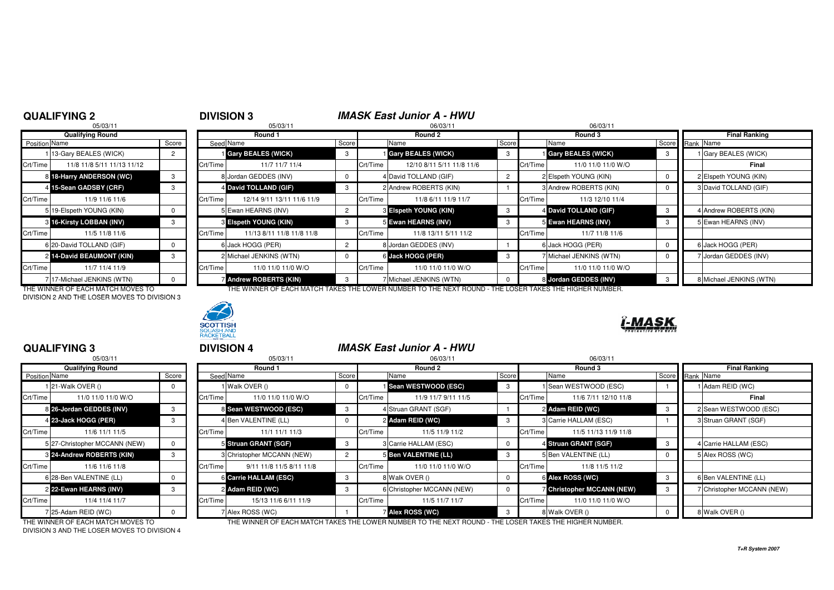**QUALIFYING 3**

|                      | 05/03/11                   |       |          |
|----------------------|----------------------------|-------|----------|
|                      | <b>Qualifying Round</b>    |       |          |
| <b>Position Name</b> |                            | Score | Seed     |
|                      | 113-Gary BEALES (WICK)     | 2     |          |
| Crt/Time             | 11/8 11/8 5/11 11/13 11/12 |       | Crt/Time |
| 81                   | 18-Harry ANDERSON (WC)     | 3     | 8        |
| $\frac{4}{ }$        | 15-Sean GADSBY (CRF)       | 3     | 4        |
| Crt/Time             | 11/9 11/6 11/6             |       | Crt/Time |
|                      | 519-Elspeth YOUNG (KIN)    | 0     | 5        |
| 3                    | 16-Kirsty LOBBAN (INV)     | 3     | 3        |
| Crt/Time             | 11/5 11/8 11/6             |       | Crt/Time |
|                      | 6 20-David TOLLAND (GIF)   | 0     | 6        |
|                      | 2 14-David BEAUMONT (KIN)  | 3     | 2        |
| Crt/Time             | 11/7 11/4 11/9             |       | Crt/Time |
| 7                    | 17-Michael JENKINS (WTN)   | O     |          |

DIVISION 2 AND THE LOSER MOVES TO DIVISION 3



|               | 05/03/11                      |       |                |
|---------------|-------------------------------|-------|----------------|
|               | <b>Qualifying Round</b>       |       |                |
| Position Name |                               | Score | Seed           |
|               | 21-Walk OVER ()               | 0     |                |
| Crt/Time      | 11/0 11/0 11/0 W/O            |       | Crt/Time       |
|               | 8 26-Jordan GEDDES (INV)      | 3     | 8              |
|               | 4 23-Jack HOGG (PER)          | 3     | 4              |
| Crt/Time      | 11/6 11/1 11/5                |       | Crt/Time       |
|               | 5 27-Christopher MCCANN (NEW) | O     | 5              |
|               | 8 24-Andrew ROBERTS (KIN)     | 3     | 3              |
| Crt/Time      | 11/6 11/6 11/8                |       | Crt/Time       |
|               | 6 28-Ben VALENTINE (LL)       | O     | 6              |
|               | 2 22-Ewan HEARNS (INV)        | 3     | $\overline{2}$ |
| Crt/Time      | 11/4 11/4 11/7                |       | Crt/Time       |
|               | 7 25-Adam REID (WC)           | n     |                |

DIVISION 3 AND THE LOSER MOVES TO DIVISION 4

|               | <b>QUALIFYING 2</b>        |                | <b>DIVISION 3</b> |                            |                | <b>IMASK East Junior A - HWU</b> |                              |       |          |                         |                         |
|---------------|----------------------------|----------------|-------------------|----------------------------|----------------|----------------------------------|------------------------------|-------|----------|-------------------------|-------------------------|
|               | 05/03/11                   |                |                   | 05/03/11                   |                |                                  | 06/03/11                     |       |          | 06/03/11                |                         |
|               | <b>Qualifying Round</b>    |                |                   | Round 1                    |                |                                  | Round 2                      |       |          | Round 3                 | <b>Final Ranking</b>    |
| Position Name |                            | Score          |                   | Seed Name                  | Score          |                                  | Name                         | Score |          | Name                    | Score Rank Name         |
|               | 113-Gary BEALES (WICK)     | $\overline{2}$ |                   | <b>Gary BEALES (WICK)</b>  | -3             |                                  | <b>Gary BEALES (WICK)</b>    | 3     |          | Gary BEALES (WICK)      | 1 Gary BEALES (WICK)    |
| Crt/Time      | 11/8 11/8 5/11 11/13 11/12 |                | Crt/Time          | 11/7 11/7 11/4             |                | Crt/Time                         | 12/10 8/11 5/11 11/8 11/6    |       | Crt/Time | 11/0 11/0 11/0 W/O      | Final                   |
|               | 8 18-Harry ANDERSON (WC)   |                |                   | 8 Jordan GEDDES (INV)      |                |                                  | 4 David TOLLAND (GIF)        |       |          | 2 Elspeth YOUNG (KIN)   | 2 Elspeth YOUNG (KIN)   |
|               | 15-Sean GADSBY (CRF)       |                |                   | 4 David TOLLAND (GIF)      |                |                                  | 2 Andrew ROBERTS (KIN)       |       |          | 3 Andrew ROBERTS (KIN)  | 3 David TOLLAND (GIF)   |
| Crt/Time      | 11/9 11/6 11/6             |                | Crt/Time          | 12/14 9/11 13/11 11/6 11/9 |                | Crt/Time                         | 11/8 6/11 11/9 11/7          |       | Crt/Time | 11/3 12/10 11/4         |                         |
|               | 5 19-Elspeth YOUNG (KIN)   |                |                   | 5 Ewan HEARNS (INV)        | $\overline{2}$ |                                  | <b>8 Elspeth YOUNG (KIN)</b> |       |          | 4 David TOLLAND (GIF)   | 4 Andrew ROBERTS (KIN)  |
|               | 8 16-Kirsty LOBBAN (INV)   |                |                   | 3 Elspeth YOUNG (KIN)      | -3             |                                  | 5 Ewan HEARNS (INV)          | -3    |          | 5 Ewan HEARNS (INV)     | 5 Ewan HEARNS (INV)     |
| Crt/Time      | 11/5 11/8 11/6             |                | Crt/Time          | 11/13 8/11 11/8 11/8 11/8  |                | Crt/Time                         | 11/8 13/11 5/11 11/2         |       | Crt/Time | 11/7 11/8 11/6          |                         |
|               | 6 20-David TOLLAND (GIF)   |                |                   | 6 Jack HOGG (PER)          | $\overline{2}$ |                                  | 8 Jordan GEDDES (INV)        |       |          | 6 Jack HOGG (PER)       | 6 Jack HOGG (PER)       |
|               | 2 14-David BEAUMONT (KIN)  | 3              |                   | 2 Michael JENKINS (WTN)    |                |                                  | 6 Jack HOGG (PER)            | 3     |          | 7 Michael JENKINS (WTN) | 7 Jordan GEDDES (INV)   |
| Crt/Time      | 11/7 11/4 11/9             |                | Crt/Time          | 11/0 11/0 11/0 W/O         |                | Crt/Time                         | 11/0 11/0 11/0 W/O           |       | Crt/Time | 11/0 11/0 11/0 W/O      |                         |
|               | 7 17-Michael JENKINS (WTN) |                |                   | Andrew ROBERTS (KIN)       | -3             |                                  | 7 Michael JENKINS (WTN)      |       |          | 8 Jordan GEDDES (INV)   | 8 Michael JENKINS (WTN) |

THE WINNER OF EACH MATCH MOVES TO THE WINNER OF EACH MATCH TAKES THE LOWER NUMBER TO THE NEXT ROUND - THE LOSER TAKES THE HIGHER NUMBER.

|               | <b>QUALIFYING 3</b>              |       | <b>DIVISION 4</b>                    |       |                       | <b>IMASK East Junior A - HWU</b> |              |          |                                   |       |                            |
|---------------|----------------------------------|-------|--------------------------------------|-------|-----------------------|----------------------------------|--------------|----------|-----------------------------------|-------|----------------------------|
|               | 05/03/11                         |       | 05/03/11                             |       |                       | 06/03/11                         |              |          | 06/03/11                          |       |                            |
|               | <b>Qualifying Round</b>          |       | Round 1                              |       | Round 2               |                                  |              |          | Round 3                           |       | <b>Final Ranking</b>       |
| Position Name |                                  | Score | Seed Name                            | Score | Name                  |                                  | Score        |          | Name                              | Score | Rank Name                  |
|               | 1 21-Walk OVER ()                |       | 1 Walk OVER ()                       |       |                       | <b>i</b> Sean WESTWOOD (ESC)     | 3            |          | Sean WESTWOOD (ESC)               |       | 1 Adam REID (WC)           |
| Crt/Time      | 11/0 11/0 11/0 W/O               |       | Crt/Time<br>11/0 11/0 11/0 W/O       |       | Crt/Time              | 11/9 11/7 9/11 11/5              |              | Crt/Time | 11/6 7/11 12/10 11/8              |       | Final                      |
|               | 8 26-Jordan GEDDES (INV)         |       | 8 Sean WESTWOOD (ESC)                |       |                       | 4 Struan GRANT (SGF)             |              |          | 2 Adam REID (WC)                  |       | 2 Sean WESTWOOD (ESC)      |
|               | 4 23-Jack HOGG (PER)             |       | 4 Ben VALENTINE (LL)                 |       | 2 Adam REID (WC)      |                                  | 3            |          | <b>B</b> Carrie HALLAM (ESC)      |       | 3 Struan GRANT (SGF)       |
| Crt/Time      | 11/6 11/1 11/5                   |       | Crt/Time<br>11/1 11/1 11/3           |       | Crt/Time              | 11/5 11/9 11/2                   |              | Crt/Time | 11/5 11/13 11/9 11/8              |       |                            |
|               | 5 27-Christopher MCCANN (NEW)    |       | 5 Struan GRANT (SGF)                 | -3    |                       | 3 Carrie HALLAM (ESC)            |              |          | 4 Struan GRANT (SGF)              |       | 4 Carrie HALLAM (ESC)      |
|               | <b>8 24-Andrew ROBERTS (KIN)</b> |       | 3 Christopher MCCANN (NEW)           |       |                       | 5 Ben VALENTINE (LL)             |              |          | 5 Ben VALENTINE (LL)              |       | 5 Alex ROSS (WC)           |
| Crt/Time      | 11/6 11/6 11/8                   |       | Crt/Time<br>9/11 11/8 11/5 8/11 11/8 |       | Crt/Time              | 11/0 11/0 11/0 W/O               |              | Crt/Time | 11/8 11/5 11/2                    |       |                            |
|               | 6 28-Ben VALENTINE (LL)          |       | 6 Carrie HALLAM (ESC)                |       | 8 Walk OVER ()        |                                  | 0            |          | 6 Alex ROSS (WC)                  |       | 6 Ben VALENTINE (LL)       |
|               | 2 22-Ewan HEARNS (INV)           |       | 2 Adam REID (WC)                     |       |                       | 6 Christopher MCCANN (NEW)       |              |          | <b>7 Christopher MCCANN (NEW)</b> |       | 7 Christopher MCCANN (NEW) |
| Crt/Time      | 11/4 11/4 11/7                   |       | Crt/Time<br>15/13 11/6 6/11 11/9     |       | Crt/Time              | 11/5 11/7 11/7                   |              | Crt/Time | 11/0 11/0 11/0 W/O                |       |                            |
|               | 7 25-Adam REID (WC)              |       | 7 Alex ROSS (WC)                     |       | <b>Alex ROSS (WC)</b> |                                  | $\mathbf{B}$ |          | 8 Walk OVER ()                    |       | 8 Walk OVER ()             |

MAS.

THE WINNER OF EACH MATCH MOVES TO THE WINNER OF EACH MATCH TAKES THE LOWER NUMBER TO THE NEXT ROUND - THE LOSER TAKES THE HIGHER NUMBER.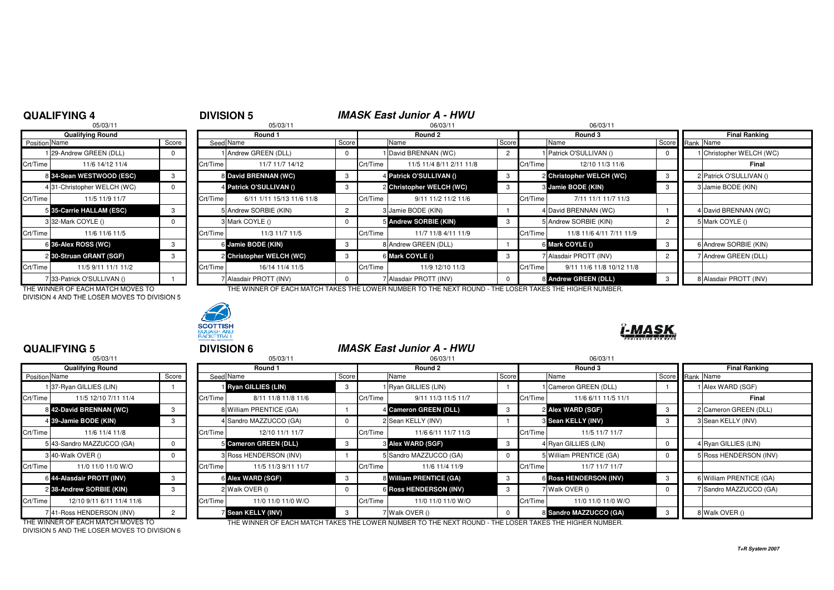# <sup>4</sup> **DIVISION 5 IMASK East Junior A - HWU**

|                      | 05/03/11                   |       |           | 05/03/11                  |                |          | 06/03/11                 |          | 06/03/1  |                         |  |
|----------------------|----------------------------|-------|-----------|---------------------------|----------------|----------|--------------------------|----------|----------|-------------------------|--|
|                      | <b>Qualifying Round</b>    |       |           | Round 1                   |                |          | Round 2                  |          | Round 3  |                         |  |
| <b>Position</b> Name |                            | Score | Seed Name |                           |                | Score    | Name                     | Score    |          | Name                    |  |
|                      | 29-Andrew GREEN (DLL)      | 0     |           | Andrew GREEN (DLL)        | 0              |          | David BRENNAN (WC)       | 2        |          | 1 Patrick O'SULLIVAN () |  |
| Crt/Time             | 11/6 14/12 11/4            |       | Crt/Time  | 11/7 11/7 14/12           |                | Crt/Time | 11/5 11/4 8/11 2/11 11/8 |          | Crt/Time | 12/10 11/3              |  |
|                      | 8 34-Sean WESTWOOD (ESC)   | 3     |           | 8 David BRENNAN (WC)      | 3              |          | 4 Patrick O'SULLIVAN ()  | 3        |          | 2 Christopher WELCH     |  |
|                      | 431-Christopher WELCH (WC) | 0     |           | 4 Patrick O'SULLIVAN ()   | 3              |          | 2 Christopher WELCH (WC) | 3        |          | 3 Jamie BODE (KIN)      |  |
| Crt/Time             | 11/5 11/9 11/7             |       | Crt/Time  | 6/11 1/11 15/13 11/6 11/8 |                | Crt/Time | 9/11 11/2 11/2 11/6      |          | Crt/Time | 7/11 11/1 11/           |  |
|                      | 5 35-Carrie HALLAM (ESC)   | 3     |           | 5 Andrew SORBIE (KIN)     | $\overline{c}$ |          | 3 Jamie BODE (KIN)       |          |          | 4 David BRENNAN (WC     |  |
|                      | 3 32-Mark COYLE ()         | 0     |           | 3 Mark COYLE ()           | 0              |          | 5 Andrew SORBIE (KIN)    | 3        |          | 5 Andrew SORBIE (KIN)   |  |
| Crt/Time             | 11/6 11/6 11/5             |       | Crt/Time  | 11/3 11/7 11/5            |                | Crt/Time | 11/7 11/8 4/11 11/9      |          | Crt/Time | 11/8 11/6 4/11 7        |  |
|                      | 6 36-Alex ROSS (WC)        | 3     |           | 6 Jamie BODE (KIN)        | 3              |          | 8 Andrew GREEN (DLL)     |          |          | 6 Mark COYLE ()         |  |
|                      | 2 30-Struan GRANT (SGF)    | 3     |           | 2 Christopher WELCH (WC)  | 3              |          | 6 Mark COYLE ()          | 3        |          | 7 Alasdair PROTT (INV)  |  |
| Crt/Time             | 11/5 9/11 11/1 11/2        |       | Crt/Time  | 16/14 11/4 11/5           |                | Crt/Time | 11/9 12/10 11/3          |          | Crt/Time | 9/11 11/6 11/8 1        |  |
|                      | 7 33-Patrick O'SULLIVAN () |       |           | 7 Alasdair PROTT (INV)    | $\Omega$       |          | 7 Alasdair PROTT (INV)   | $\Omega$ |          | 8 Andrew GREEN (DLL     |  |

DIVISION 4 AND THE LOSER MOVES TO DIVISION 5



| Qualifying Round |                            |       | Round 1  |                           |                | Round 2  |                          |       | Round 3                               | Final Ranking           |
|------------------|----------------------------|-------|----------|---------------------------|----------------|----------|--------------------------|-------|---------------------------------------|-------------------------|
| Position Name    |                            | Score |          | Seed Name                 | Score          |          | Name                     | Score | Name                                  | Score Rank Name         |
|                  | 129-Andrew GREEN (DLL)     |       |          | 1 Andrew GREEN (DLL)      | 0              |          | David BRENNAN (WC)       |       | Patrick O'SULLIVAN ()                 | Christopher WELCH (WC)  |
| Crt/Time         | 11/6 14/12 11/4            |       | Crt/Time | 11/7 11/7 14/12           |                | Crt/Time | 11/5 11/4 8/11 2/11 11/8 |       | Crt/Time<br>12/10 11/3 11/6           | Final                   |
|                  | 8 34-Sean WESTWOOD (ESC)   |       |          | 8 David BRENNAN (WC)      | -3             |          | 4 Patrick O'SULLIVAN ()  |       | 2 Christopher WELCH (WC)              | 2 Patrick O'SULLIVAN () |
|                  | 431-Christopher WELCH (WC) |       |          | 4 Patrick O'SULLIVAN ()   | 3              |          | 2 Christopher WELCH (WC) |       | 3 Jamie BODE (KIN)                    | 3 Jamie BODE (KIN)      |
| Crt/Time         | 11/5 11/9 11/7             |       | Crt/Time | 6/11 1/11 15/13 11/6 11/8 |                | Crt/Time | 9/11 11/2 11/2 11/6      |       | Crt/Time<br>7/11 11/1 11/7 11/3       |                         |
|                  | 5 35-Carrie HALLAM (ESC)   |       |          | 5 Andrew SORBIE (KIN)     | $\overline{2}$ |          | 3 Jamie BODE (KIN)       |       | 4 David BRENNAN (WC)                  | 4 David BRENNAN (WC)    |
|                  | 332-Mark COYLE ()          |       |          | 3 Mark COYLE ()           | 0              |          | 5 Andrew SORBIE (KIN)    |       | 5 Andrew SORBIE (KIN)                 | 5 Mark COYLE ()         |
| Crt/Time         | 11/6 11/6 11/5             |       | Crt/Time | 11/3 11/7 11/5            |                | Crt/Time | 11/7 11/8 4/11 11/9      |       | Crt/Time<br>11/8 11/6 4/11 7/11 11/9  |                         |
|                  | 6 36-Alex ROSS (WC)        |       |          | 6 Jamie BODE (KIN)        | 3              |          | 8 Andrew GREEN (DLL)     |       | 6 Mark COYLE ()                       | 6 Andrew SORBIE (KIN)   |
|                  | 2 30-Struan GRANT (SGF)    |       |          | 2 Christopher WELCH (WC)  | 3              |          | 6 Mark COYLE ()          |       | 7 Alasdair PROTT (INV)                | 7 Andrew GREEN (DLL)    |
| Crt/Time         | 11/5 9/11 11/1 11/2        |       | Crt/Time | 16/14 11/4 11/5           |                | Crt/Time | 11/9 12/10 11/3          |       | Crt/Time<br>9/11 11/6 11/8 10/12 11/8 |                         |
|                  | 33-Patrick O'SULLIVAN ()   |       |          | 7 Alasdair PROTT (INV)    |                |          | 7 Alasdair PROTT (INV)   |       | 8 Andrew GREEN (DLL)                  | 8 Alasdair PROTT (INV)  |

THE WINNER OF EACH MATCH MOVES TO THE WINNER OF EACH MATCH TAKES THE LOWER NUMBER TO THE NEXT ROUND - THE LOSER TAKES THE HIGHER NUMBER.



## 1-MASI

|                      | <b>QUALIFYING 5</b>               |                | <b>DIVISION 6</b> |                               |          |          | <b>IMASK East Junior A - HWU</b>                                                                       |       |          |                               |                 |                             |
|----------------------|-----------------------------------|----------------|-------------------|-------------------------------|----------|----------|--------------------------------------------------------------------------------------------------------|-------|----------|-------------------------------|-----------------|-----------------------------|
|                      | 05/03/11                          |                |                   | 05/03/11                      |          |          | 06/03/11                                                                                               |       |          | 06/03/11                      |                 |                             |
|                      | <b>Qualifying Round</b>           |                | Round 1           |                               |          | Round 2  |                                                                                                        |       |          | Round 3                       |                 | <b>Final Ranking</b>        |
| <b>Position Name</b> |                                   | Score          |                   | Seed Name                     | Score    |          | Name                                                                                                   | Score |          | Name                          | Score Rank Name |                             |
|                      | 37-Ryan GILLIES (LIN)             |                |                   | Ryan GILLIES (LIN)            | -3       |          | 1 Ryan GILLIES (LIN)                                                                                   |       |          | Cameron GREEN (DLL)           |                 | <b>Alex WARD (SGF)</b>      |
| Crt/Time             | 11/5 12/10 7/11 11/4              |                | Crt/Time          | 8/11 11/8 11/8 11/6           |          | Crt/Time | 9/11 11/3 11/5 11/7                                                                                    |       | Crt/Time | 11/6 6/11 11/5 11/1           |                 | Final                       |
|                      | 342-David BRENNAN (WC)            | 3              |                   | 8 William PRENTICE (GA)       |          |          | 4 Cameron GREEN (DLL)                                                                                  | 3     |          | 2 Alex WARD (SGF)             |                 | 2 Cameron GREEN (DLL)       |
|                      | 4 39-Jamie BODE (KIN)             | 3              |                   | 4 Sandro MAZZUCCO (GA)        | $\Omega$ |          | 2 Sean KELLY (INV)                                                                                     |       |          | <b>8 Sean KELLY (INV)</b>     |                 | 3 Sean KELLY (INV)          |
| Crt/Time             | 11/6 11/4 11/8                    |                | Crt/Time          | 12/10 11/1 11/7               |          | Crt/Time | 11/6 6/11 11/7 11/3                                                                                    |       | Crt/Time | 11/5 11/7 11/7                |                 |                             |
|                      | 543-Sandro MAZZUCCO (GA)          | $\mathbf{0}$   |                   | Cameron GREEN (DLL)           | 3        |          | <b>8 Alex WARD (SGF)</b>                                                                               | -3    |          | 4 Ryan GILLIES (LIN)          |                 | 4 Ryan GILLIES (LIN)        |
|                      | 3140-Walk OVER ()                 | $\Omega$       |                   | <b>B</b> Ross HENDERSON (INV) |          |          | 5 Sandro MAZZUCCO (GA)                                                                                 |       |          | 5 William PRENTICE (GA)       |                 | <b>Ross HENDERSON (INV)</b> |
| Crt/Time             | 11/0 11/0 11/0 W/O                |                | Crt/Time          | 11/5 11/3 9/11 11/7           |          | Crt/Time | 11/6 11/4 11/9                                                                                         |       | Crt/Time | 11/7 11/7 11/7                |                 |                             |
|                      | 6 44-Alasdair PROTT (INV)         | 3              |                   | <b>6 Alex WARD (SGF)</b>      | 3        |          | 8 William PRENTICE (GA)                                                                                | 3     |          | <b>6 Ross HENDERSON (INV)</b> |                 | 6 William PRENTICE (GA)     |
|                      | 238-Andrew SORBIE (KIN)           | 3              |                   | 2 Walk OVER ()                | $\Omega$ |          | <b>6 Ross HENDERSON (INV)</b>                                                                          |       |          | Walk OVER ()                  |                 | Sandro MAZZUCCO (GA)        |
| Crt/Time             | 12/10 9/11 6/11 11/4 11/6         |                | Crt/Time          | 11/0 11/0 11/0 W/O            |          | Crt/Time | 11/0 11/0 11/0 W/O                                                                                     |       | Crt/Time | 11/0 11/0 11/0 W/O            |                 |                             |
|                      | 741-Ross HENDERSON (INV)          | $\overline{2}$ |                   | <b>Sean KELLY (INV)</b>       | -3       |          | 7 Walk OVER ()                                                                                         |       |          | 8 Sandro MAZZUCCO (GA)        |                 | 8 Walk OVER ()              |
|                      | THE WINNER OF EACH MATCH MOVES TO |                |                   |                               |          |          | THE WINNER OF EACH MATCH TAKES THE LOWER NUMBER TO THE NEXT ROUND - THE LOSER TAKES THE HIGHER NUMBER. |       |          |                               |                 |                             |

DIVISION 5 AND THE LOSER MOVES TO DIVISION 6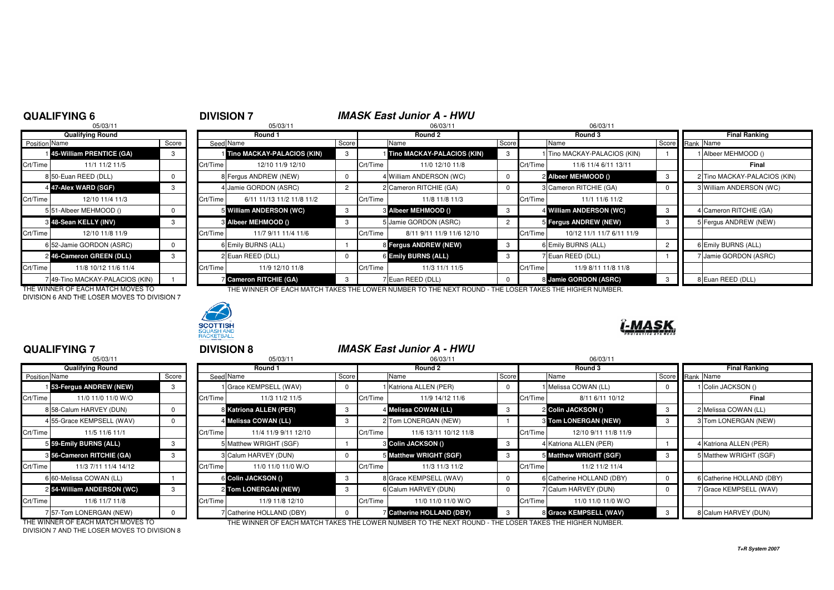# **DIVISION 7 IMASK East Junior A - HWU**<br>06/03/11

|                      | 05/03/11                        |       |          | 05/03/11                       |       |          | 06/03/11                   |                | 06/03/1  |                       |  |
|----------------------|---------------------------------|-------|----------|--------------------------------|-------|----------|----------------------------|----------------|----------|-----------------------|--|
|                      | <b>Qualifying Round</b>         |       |          | Round 1                        |       |          | Round 2                    |                |          | Round 3               |  |
| <b>Position</b> Name |                                 | Score |          | Seed Name                      | Score |          | Name                       | Score          |          | Name                  |  |
|                      | 45-William PRENTICE (GA)        | 3     |          | Tino MACKAY-PALACIOS (KIN)     | 3     |          | Tino MACKAY-PALACIOS (KIN) | 3              |          | 1 Tino MACKAY-PALAC   |  |
| Crt/Time             | 11/1 11/2 11/5                  |       | Crt/Time | 12/10 11/9 12/10               |       | Crt/Time | 11/0 12/10 11/8            |                | Crt/Time | 11/6 11/4 6/11        |  |
|                      | 8 50-Euan REED (DLL)            | 0     |          | 8 Fergus ANDREW (NEW)          | 0     |          | 4 William ANDERSON (WC)    | 0              |          | 2 Albeer MEHMOOD ()   |  |
|                      | 4 47-Alex WARD (SGF)            | 3     |          | 4 Jamie GORDON (ASRC)          | 2     |          | 2 Cameron RITCHIE (GA)     | 0              |          | 3 Cameron RITCHIE (GA |  |
| Crt/Time             | 12/10 11/4 11/3                 |       | Crt/Time | 6/11 11/13 11/2 11/8 11/2      |       | Crt/Time | 11/8 11/8 11/3             |                | Crt/Time | 11/1 11/6 1           |  |
|                      | 551-Albeer MEHMOOD ()           | 0     |          | 5 William ANDERSON (WC)        | 3     |          | <b>8 Albeer MEHMOOD ()</b> | 3              |          | 4 William ANDERSON (  |  |
|                      | 3 48-Sean KELLY (INV)           | 3     |          | <b>&amp; Albeer MEHMOOD ()</b> | 3     |          | 5 Jamie GORDON (ASRC)      | $\overline{2}$ |          | 5 Fergus ANDREW (NE   |  |
| Crt/Time             | 12/10 11/8 11/9                 |       | Crt/Time | 11/7 9/11 11/4 11/6            |       | Crt/Time | 8/11 9/11 11/9 11/6 12/10  |                | Crt/Time | 10/12 11/1 11/7       |  |
|                      | 6 52-Jamie GORDON (ASRC)        | 0     |          | 6 Emily BURNS (ALL)            |       |          | 8 Fergus ANDREW (NEW)      | 3              |          | 6 Emily BURNS (ALL)   |  |
|                      | 246-Cameron GREEN (DLL)         | 3     |          | 2 Euan REED (DLL)              | 0     |          | 6 Emily BURNS (ALL)        | 3              |          | 7 Euan REED (DLL)     |  |
| Crt/Time             | 11/8 10/12 11/6 11/4            |       | Crt/Time | 11/9 12/10 11/8                |       | Crt/Time | 11/3 11/1 11/5             |                | Crt/Time | 11/9 8/11 11/         |  |
|                      | 7 49-Tino MACKAY-PALACIOS (KIN) |       |          | <b>Z</b> Cameron RITCHIE (GA)  | 3     |          | 7 Euan REED (DLL)          | $\Omega$       |          | 8 Jamie GORDON (ASF   |  |

DIVISION 6 AND THE LOSER MOVES TO DIVISION 7



| Qualifying Round |                                 |       | Round 1  |                               |                | Round 2  |                            |       |          | Round 3                      |                 | Final Ranking |                               |  |
|------------------|---------------------------------|-------|----------|-------------------------------|----------------|----------|----------------------------|-------|----------|------------------------------|-----------------|---------------|-------------------------------|--|
| Position Name    |                                 | Score |          | Seed Name                     | Score          |          | Name                       | Score |          | Name                         | Score Rank Name |               |                               |  |
|                  | 145-William PRENTICE (GA)       |       |          | Tino MACKAY-PALACIOS (KIN)    | 3              |          | Tino MACKAY-PALACIOS (KIN) |       |          | 1 Tino MACKAY-PALACIOS (KIN) |                 |               | Albeer MEHMOOD ()             |  |
| Crt/Time         | 11/1 11/2 11/5                  |       | Crt/Time | 12/10 11/9 12/10              |                | Crt/Time | 11/0 12/10 11/8            |       | Crt/Time | 11/6 11/4 6/11 13/11         |                 |               | Final                         |  |
|                  | 8 50-Euan REED (DLL)            |       |          | 8 Fergus ANDREW (NEW)         |                |          | 4 William ANDERSON (WC)    |       |          | 2 Albeer MEHMOOD ()          |                 |               | 2 Tino MACKAY-PALACIOS (KIN)  |  |
|                  | 4 47-Alex WARD (SGF)            |       |          | 4 Jamie GORDON (ASRC)         | $\overline{2}$ |          | 2 Cameron RITCHIE (GA)     |       |          | 3 Cameron RITCHIE (GA)       |                 |               | 3 William ANDERSON (WC)       |  |
| Crt/Time         | 12/10 11/4 11/3                 |       | Crt/Time | 6/11 11/13 11/2 11/8 11/2     |                | Crt/Time | 11/8 11/8 11/3             |       | Crt/Time | 11/1 11/6 11/2               |                 |               |                               |  |
|                  | 5 51-Albeer MEHMOOD ()          |       |          | 5 William ANDERSON (WC)       | 3              |          | <b>8 Albeer MEHMOOD ()</b> |       |          | 4 William ANDERSON (WC)      |                 |               | <b>I</b> Cameron RITCHIE (GA) |  |
|                  | 8 48-Sean KELLY (INV)           |       |          | 3 Albeer MEHMOOD ()           | 3              |          | 5 Jamie GORDON (ASRC)      |       |          | 5 Fergus ANDREW (NEW)        | -3              |               | 5 Fergus ANDREW (NEW)         |  |
| Crt/Time         | 12/10 11/8 11/9                 |       | Crt/Time | 11/7 9/11 11/4 11/6           |                | Crt/Time | 8/11 9/11 11/9 11/6 12/10  |       | Crt/Time | 10/12 11/1 11/7 6/11 11/9    |                 |               |                               |  |
|                  | 6 52-Jamie GORDON (ASRC)        |       |          | 6 Emily BURNS (ALL)           |                |          | 8 Fergus ANDREW (NEW)      |       |          | 6 Emily BURNS (ALL)          |                 |               | 6 Emily BURNS (ALL)           |  |
|                  | 246-Cameron GREEN (DLL)         |       |          | 2 Euan REED (DLL)             |                |          | 6 Emily BURNS (ALL)        |       |          | Fuan REED (DLL)              |                 |               | <b>Jamie GORDON (ASRC)</b>    |  |
| Crt/Time         | 11/8 10/12 11/6 11/4            |       | Crt/Time | 11/9 12/10 11/8               |                | Crt/Time | 11/3 11/1 11/5             |       | Crt/Time | 11/9 8/11 11/8 11/8          |                 |               |                               |  |
|                  | 7 49-Tino MACKAY-PALACIOS (KIN) |       |          | <b>Z</b> Cameron RITCHIE (GA) | 3              |          | 7 Euan REED (DLL)          |       |          | 8 Jamie GORDON (ASRC)        |                 |               | 8 Euan REED (DLL)             |  |

THE WINNER OF EACH MATCH MOVES TO THE WINNER OF EACH MATCH TAKES THE LOWER NUMBER TO THE NEXT ROUND - THE LOSER TAKES THE HIGHER NUMBER.



### **QUALIFYING 7**

|                      | 05/03/11                  |          |          |
|----------------------|---------------------------|----------|----------|
|                      | <b>Qualifying Round</b>   |          |          |
| <b>Position Name</b> |                           | Score    | Seed     |
|                      | 153-Fergus ANDREW (NEW)   | 3        |          |
| Crt/Time             | 11/0 11/0 11/0 W/O        |          | Crt/Time |
|                      | 8 58-Calum HARVEY (DUN)   | 0        | 8        |
|                      | 4 55-Grace KEMPSELL (WAV) | 0        | 4        |
| Crt/Time             | 11/5 11/6 11/1            |          | Crt/Time |
|                      | 5 59-Emily BURNS (ALL)    | 3        | 5        |
|                      | 8 56-Cameron RITCHIE (GA) | 3        | 3        |
| Crt/Time             | 11/3 7/11 11/4 14/12      |          | Crt/Time |
|                      | 6 60-Melissa COWAN (LL)   |          | 6        |
|                      | 254-William ANDERSON (WC) | 3        | 2        |
| Crt/Time             | 11/6 11/7 11/8            |          | Crt/Time |
|                      | 7 57-Tom LONERGAN (NEW)   | $\Omega$ |          |

| 05/03/11                      |                                   |   | 05/03/11 |                           |    |          | 06/03/11                       |      | 06/03/11                                                                                               |   |  |                           |  |
|-------------------------------|-----------------------------------|---|----------|---------------------------|----|----------|--------------------------------|------|--------------------------------------------------------------------------------------------------------|---|--|---------------------------|--|
| <b>Qualifying Round</b>       |                                   |   | Round 1  |                           |    | Round 2  |                                |      | Round 3                                                                                                |   |  | <b>Final Ranking</b>      |  |
| <b>Position Name</b><br>Score |                                   |   |          | Seed Name                 |    | Score    | Score<br>Name                  | Name | Score Rank Name                                                                                        |   |  |                           |  |
|                               | 153-Fergus ANDREW (NEW)           | 3 |          | Grace KEMPSELL (WAV)      |    |          | 1 Katriona ALLEN (PER)         |      | Melissa COWAN (LL)                                                                                     |   |  | I Colin JACKSON ()        |  |
| Crt/Time                      | 11/0 11/0 11/0 W/O                |   | Crt/Time | 11/3 11/2 11/5            |    | Crt/Time | 11/9 14/12 11/6                |      | Crt/Time<br>8/11 6/11 10/12                                                                            |   |  | Final                     |  |
|                               | 8 58-Calum HARVEY (DUN)           | 0 |          | 8 Katriona ALLEN (PER)    | 3  |          | 4 Melissa COWAN (LL)           | 3    | 2 Colin JACKSON ()                                                                                     | 3 |  | 2 Melissa COWAN (LL)      |  |
|                               | 455-Grace KEMPSELL (WAV)          |   |          | 4 Melissa COWAN (LL)      | -3 |          | 2 Tom LONERGAN (NEW)           |      | <b>8 Tom LONERGAN (NEW)</b>                                                                            |   |  | 3 Tom LONERGAN (NEW)      |  |
| Crt/Time                      | 11/5 11/6 11/1                    |   | Crt/Time | 11/4 11/9 9/11 12/10      |    | Crt/Time | 11/6 13/11 10/12 11/8          |      | Crt/Time<br>12/10 9/11 11/8 11/9                                                                       |   |  |                           |  |
|                               | 5 59-Emily BURNS (ALL)            |   |          | 5 Matthew WRIGHT (SGF)    |    |          | <b>8 Colin JACKSON ()</b>      |      | 4 Katriona ALLEN (PER)                                                                                 |   |  | 4 Katriona ALLEN (PER)    |  |
|                               | 8 56-Cameron RITCHIE (GA)         | 3 |          | 3 Calum HARVEY (DUN)      |    |          | 5 Matthew WRIGHT (SGF)         |      | 5 Matthew WRIGHT (SGF)                                                                                 |   |  | 5 Matthew WRIGHT (SGF)    |  |
| Crt/Time                      | 11/3 7/11 11/4 14/12              |   | Crt/Time | 11/0 11/0 11/0 W/O        |    | Crt/Time | 11/3 11/3 11/2                 |      | Crt/Time<br>11/2 11/2 11/4                                                                             |   |  |                           |  |
|                               | 6 60-Melissa COWAN (LL)           |   |          | 6 Colin JACKSON ()        | 3  |          | 8 Grace KEMPSELL (WAV)         |      | 6 Catherine HOLLAND (DBY)                                                                              |   |  | 6 Catherine HOLLAND (DBY) |  |
|                               | 254-William ANDERSON (WC)         | 3 |          | 2 Tom LONERGAN (NEW)      | -3 |          | 6 Calum HARVEY (DUN)           |      | 7 Calum HARVEY (DUN)                                                                                   |   |  | 7 Grace KEMPSELL (WAV)    |  |
| Crt/Time                      | 11/6 11/7 11/8                    |   | Crt/Time | 11/9 11/8 12/10           |    | Crt/Time | 11/0 11/0 11/0 W/O             |      | Crt/Time<br>11/0 11/0 11/0 W/O                                                                         |   |  |                           |  |
|                               | 757-Tom LONERGAN (NEW)            |   |          | 7 Catherine HOLLAND (DBY) |    |          | <b>Catherine HOLLAND (DBY)</b> |      | 8 Grace KEMPSELL (WAV)                                                                                 |   |  | 8 Calum HARVEY (DUN)      |  |
|                               | THE WINNER OF FACH MATCH MOVES TO |   |          |                           |    |          |                                |      | THE WINNER OF FACH MATCH TAKES THE LOWER NUMBER TO THE NEXT ROUND - THE LOSER TAKES THE HIGHER NUMBER. |   |  |                           |  |

THE WINNER OF EACH MATCH MOVES TO DIVISION 7 AND THE LOSER MOVES TO DIVISION 8

**T+R System 2007**